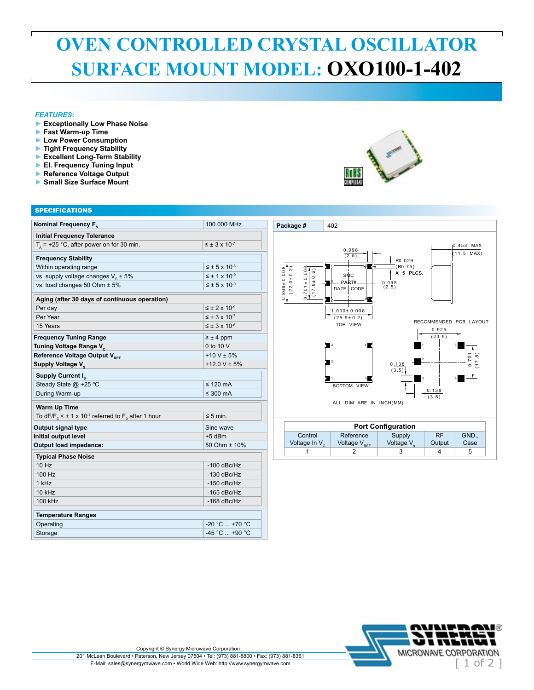## **OVEN CONTROLLED CRYSTAL OSCILLATOR SURFACE MOUNT MODEL: OXO100-1-402**

## *FEATURES:*

- **► Exceptionally Low Phase Noise**
- **► Fast Warm-up Time**
- **► Low Power Consumption**
- **► Tight Frequency Stability**
- **► Excellent Long-Term Stability**
- **► El. Frequency Tuning Input**
- **► Reference Voltage Output**
- **► Small Size Surface Mount**

| <b>SPECIFICATIONS</b>                                                                     |                             |
|-------------------------------------------------------------------------------------------|-----------------------------|
| Nominal Frequency F <sub>N</sub>                                                          | 100.000 MHz                 |
| <b>Initial Frequency Tolerance</b>                                                        |                             |
| $T_a$ = +25 °C, after power on for 30 min.                                                | $\leq \pm 3 \times 10^{-7}$ |
| <b>Frequency Stability</b>                                                                |                             |
| Within operating range                                                                    | $\leq \pm 5 \times 10^{-8}$ |
| vs. supply voltage changes $V_{\rm c} \pm 5\%$                                            | $\leq \pm 1 \times 10^{-9}$ |
| vs. load changes 50 Ohm ± 5%                                                              | $\leq \pm 5 \times 10^{-9}$ |
| Aging (after 30 days of continuous operation)                                             |                             |
| Per day                                                                                   | $\leq \pm 2 \times 10^{-9}$ |
| Per Year                                                                                  | $\leq \pm 3 \times 10^{-7}$ |
| 15 Years                                                                                  | $\leq \pm 3 \times 10^{-6}$ |
| <b>Frequency Tuning Range</b>                                                             | $\geq \pm 4$ ppm            |
| Tuning Voltage Range V <sub>c</sub>                                                       | 0 to 10 V                   |
| Reference Voltage Output V <sub>REF</sub>                                                 | $+10 V \pm 5%$              |
| Supply Voltage V <sub>c</sub>                                                             | $+12.0$ V $\pm$ 5%          |
| Supply Current I <sub>s</sub>                                                             |                             |
| Steady State @ +25 °C                                                                     | $\leq$ 120 mA               |
| During Warm-up                                                                            | $\leq 300$ mA               |
| <b>Warm Up Time</b>                                                                       |                             |
| To dF/F <sub>0</sub> < $\pm$ 1 x 10 <sup>-7</sup> referred to F <sub>0</sub> after 1 hour | $\leq$ 5 min.               |
| Output signal type                                                                        | Sine wave                   |
| Initial output level                                                                      | $+5$ dBm                    |
| Output load impedance:                                                                    | 50 Ohm ± 10%                |
| <b>Typical Phase Noise</b>                                                                |                             |
| 10 Hz                                                                                     | $-100$ dBc/Hz               |
| 100 Hz                                                                                    | $-130$ dBc/Hz               |
| 1 kHz                                                                                     | $-150$ dBc/Hz               |
| 10 kHz                                                                                    | $-165$ dBc/Hz               |
| 100 kHz                                                                                   | $-168$ dBc/Hz               |
| <b>Temperature Ranges</b>                                                                 |                             |
| Operating                                                                                 | -20 °C  +70 °C              |
| Storage                                                                                   | -45 °C  +90 °C              |
|                                                                                           |                             |



## **Package #** 402 0 .453 MAX  $\frac{0.098}{(2.5)}$  $\overline{11.5 \quad \text{MAX}}$  $R0.029$ ( R0 .7 5 ) 5  $0.866 \pm 0.008$  .866 ± 0 .0 0 8  $(22.0 \pm 0.2)$  .701 ± 0 .0 0 8  $(22.0 \pm 0.2)$  $(17.8 \pm 0.2)$ X 5 PLCS. SMC 2 PART# 0 .0 9 8 ( 2 .5 ) DATE- CODE ∽ا'ہ  $\overline{\ }$   $\longrightarrow$  $1.000 \pm 0.008$  $(25.5 \pm 0.2)$ <br>TOP VIEW RECOMMENDED PCB LAYOUT 0 .9 2 5  $(23.5)$ W 3 4 1 5  $(17.8)$  .7 0 1 2 2 0 .1 3 8  $^{\circ}$  $(\overline{3.5})$ 1 5 3 4 BOTTOM VIEW  $0.138$  $(3.5)$ ALL DIM ARE IN INCH(MM) **Port Configuration** Reference RF GND., **Control** Supply Voltage V Voltage In  $V_c$ Voltage  $V_{per}$ Output Case 1 2 3 4 5